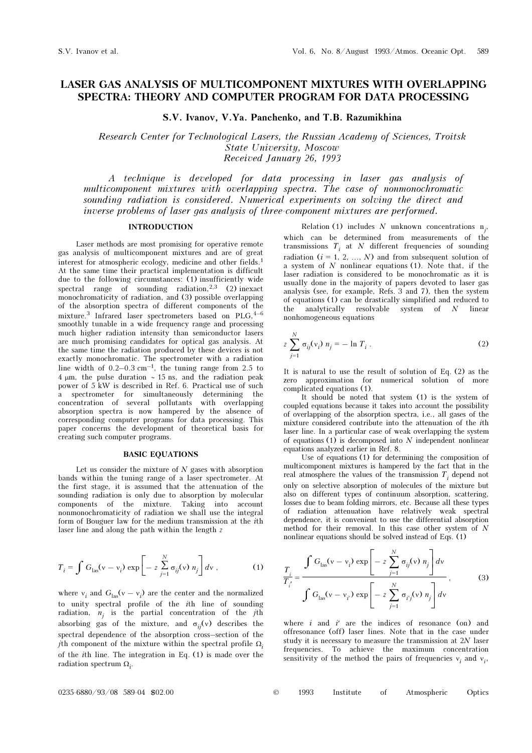# LASER GAS ANALYSIS OF MULTICOMPONENT MIXTURES WITH OVERLAPPING SPECTRA: THEORY AND COMPUTER PROGRAM FOR DATA PROCESSING

S.V. Ivanov, V.Ya. Panchenko, and T.B. Razumikhina

Research Center for Technological Lasers, the Russian Academy of Sciences, Troitsk State University, Moscow Received January 26, 1993

A technique is developed for data processing in laser gas analysis of multicomponent mixtures with overlapping spectra. The case of nonmonochromatic sounding radiation is considered. Numerical experiments on solving the direct and inverse problems of laser gas analysis of three-component mixtures are performed.

#### INTRODUCTION

Laser methods are most promising for operative remote gas analysis of multicomponent mixtures and are of great interest for atmospheric ecology, medicine and other fields.<sup>1</sup> At the same time their practical implementation is difficult due to the following circumstances: (1) insufficiently wide spectral range of sounding radiation,  $2,3$  (2) inexact monochromaticity of radiation, and (3) possible overlapping of the absorption spectra of different components of the mixture.<sup>3</sup> Infrared laser spectrometers based on  $PLG,$ <sup>4-6</sup> smoothly tunable in a wide frequency range and processing much higher radiation intensity than semiconductor lasers are much promising candidates for optical gas analysis. At the same time the radiation produced by these devices is not exactly monochromatic. The spectrometer with a radiation line width of  $0.2-0.3$  cm<sup>-1</sup>, the tuning range from 2.5 to 4 μm, the pulse duration ∼ 15 ns, and the radiation peak power of 5 kW is described in Ref. 6. Practical use of such a spectrometer for simultaneously determining the concentration of several pollutants with overlapping absorption spectra is now hampered by the absence of corresponding computer programs for data processing. This paper concerns the development of theoretical basis for creating such computer programs.

# BASIC EQUATIONS

Let us consider the mixture of  $N$  gases with absorption bands within the tuning range of a laser spectrometer. At the first stage, it is assumed that the attenuation of the sounding radiation is only due to absorption by molecular components of the mixture. Taking into account nonmonochromaticity of radiation we shall use the integral form of Bouguer law for the medium transmission at the ith laser line and along the path within the length z

$$
T_i = \int G_{\text{las}}(v - v_i) \exp\left[-z \sum_{j=1}^N \sigma_{ij}(v) n_j\right] dv , \qquad (1)
$$

where  $v_i$  and  $G_{\text{las}}(v - v_i)$  are the center and the normalized to unity spectral profile of the ith line of sounding radiation,  $n_j$  is the partial concentration of the jth absorbing gas of the mixture, and  $\sigma_{ii}(v)$  describes the spectral dependence of the absorption cross–section of the *j*th component of the mixture within the spectral profile  $\Omega_i$ of the ith line. The integration in Eq. (1) is made over the radiation spectrum  $\Omega_i$ .

Relation (1) includes N unknown concentrations  $n_j$ , which can be determined from measurements of the transmissions  $T_i$  at N different frequencies of sounding radiation  $(i = 1, 2, ..., N)$  and from subsequent solution of a system of  $N$  nonlinear equations (1). Note that, if the laser radiation is considered to be monochromatic as it is usually done in the majority of papers devoted to laser gas analysis (see, for example, Refs. 3 and 7), then the system of equations (1) can be drastically simplified and reduced to the analytically resolvable system of  $N$  linear nonhomogeneous equations

$$
z\sum_{j=1}^{N}\sigma_{ij}(v_i) n_j = -\ln T_i.
$$
 (2)

It is natural to use the result of solution of Eq. (2) as the zero approximation for numerical solution of more complicated equations (1).

It should be noted that system (1) is the system of coupled equations because it takes into account the possibility of overlapping of the absorption spectra, i.e., all gases of the mixture considered contribute into the attenuation of the ith laser line. In a particular case of weak overlapping the system of equations  $(1)$  is decomposed into N independent nonlinear equations analyzed earlier in Ref. 8.

Use of equations (1) for determining the composition of multicomponent mixtures is hampered by the fact that in the real atmosphere the values of the transmission  $T_i$  depend not only on selective absorption of molecules of the mixture but also on different types of continuum absorption, scattering, losses due to beam folding mirrors, etc. Because all these types of radiation attenuation have relatively weak spectral dependence, it is convenient to use the differential absorption method for their removal. In this case other system of  $N$ nonlinear equations should be solved instead of Eqs. (1)

$$
\frac{T_i}{T_i'} = \frac{\int G_{\text{las}}(v - v_i) \exp\left[-z \sum_{j=1}^N \sigma_{ij}(v) n_j\right] dv}{\int G_{\text{las}}(v - v_{i'}) \exp\left[-z \sum_{j=1}^N \sigma_{i'j}(v) n_j\right] dv},\tag{3}
$$

where  $i$  and  $i'$  are the indices of resonance (on) and offresonance (off) laser lines. Note that in the case under study it is necessary to measure the transmission at 2N laser frequencies. To achieve the maximum concentration sensitivity of the method the pairs of frequencies  $v_i$  and  $v_i$ .

 $0235-6880/93/08$  589-04 \$02.00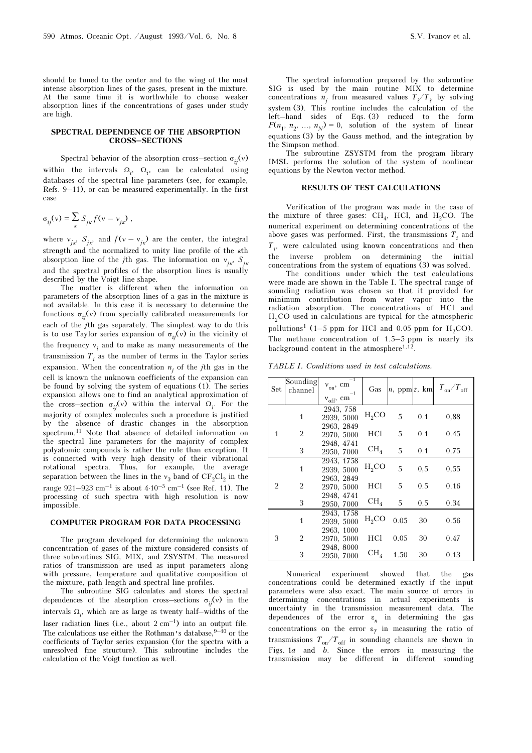should be tuned to the center and to the wing of the most intense absorption lines of the gases, present in the mixture. At the same time it is worthwhile to choose weaker absorption lines if the concentrations of gases under study are high.

#### SPECTRAL DEPENDENCE OF THE ABSORPTION CROSS–SECTIONS

Spectral behavior of the absorption cross–section  $\sigma_{ii}(v)$ within the intervals  $\Omega_i$ ,  $\Omega_i$ , can be calculated using databases of the spectral line parameters (see, for example, Refs. 9–11), or can be measured experimentally. In the first case

$$
\sigma_{ij}(v) = \sum_{\kappa} S_{j\kappa} f(v - v_{j\kappa}),
$$

where  $v_{jk}$ ,  $S_{jk}$ , and  $f(v - v_{jk})$  are the center, the integral strength and the normalized to unity line profile of the κth absorption line of the jth gas. The information on  $v_{jk}$ ,  $S_{jk}$ and the spectral profiles of the absorption lines is usually described by the Voigt line shape.

The matter is different when the information on parameters of the absorption lines of a gas in the mixture is not available. In this case it is necessary to determine the functions  $\sigma_{ii}(v)$  from specially calibrated measurements for each of the jth gas separately. The simplest way to do this is to use Taylor series expansion of  $\sigma_{ij}(v)$  in the vicinity of the frequency  $v_i$  and to make as many measurements of the transmission  $T_i$  as the number of terms in the Taylor series expansion. When the concentration  $n_j$  of the *j*th gas in the cell is known the unknown coefficients of the expansion can be found by solving the system of equations (1). The series expansion allows one to find an analytical approximation of the cross–section  $\sigma_{ij}(v)$  within the interval  $\Omega_i$ . For the majority of complex molecules such a procedure is justified by the absence of drastic changes in the absorption spectrum.11 Note that absence of detailed information on the spectral line parameters for the majority of complex polyatomic compounds is rather the rule than exception. It is connected with very high density of their vibrational rotational spectra. Thus, for example, the average separation between the lines in the  $v_3$  band of  $CF_2Cl_2$  in the range  $921-923$  cm<sup>-1</sup> is about  $4·10<sup>-5</sup>$  cm<sup>-1</sup> (see Ref. 11). The processing of such spectra with high resolution is now impossible.

# COMPUTER PROGRAM FOR DATA PROCESSING

The program developed for determining the unknown concentration of gases of the mixture considered consists of three subroutines SIG, MIX, and ZSYSTM. The measured ratios of transmission are used as input parameters along with pressure, temperature and qualitative composition of the mixture, path length and spectral line profiles.

The subroutine SIG calculates and stores the spectral dependences of the absorption cross–sections  $\sigma_{ii}(v)$  in the intervals  $\Omega_i$ , which are as large as twenty half–widths of the laser radiation lines (i.e., about  $2 \text{ cm}^{-1}$ ) into an output file. The calculations use either the Rothman's database.  $9-10$  or the coefficients of Taylor series expansion (for the spectra with a unresolved fine structure). This subroutine includes the calculation of the Voigt function as well.

The spectral information prepared by the subroutine SIG is used by the main routine MIX to determine concentrations  $n_j$  from measured values  $T_i/T_{i'}$  by solving system (3). This routine includes the calculation of the left–hand sides of Eqs. (3) reduced to the form  $F(n_1, n_2, ..., n_N) = 0$ , solution of the system of linear equations (3) by the Gauss method, and the integration by the Simpson method.

The subroutine ZSYSTM from the program library IMSL performs the solution of the system of nonlinear equations by the Newton vector method.

### RESULTS OF TEST CALCULATIONS

Verification of the program was made in the case of the mixture of three gases:  $CH<sub>A</sub>$ , HCl, and H<sub>2</sub>CO. The numerical experiment on determining concentrations of the above gases was performed. First, the transmissions  $T_i$  and  $T_i$ , were calculated using known concentrations and then the inverse problem on determining the initial concentrations from the system of equations (3) was solved.

The conditions under which the test calculations were made are shown in the Table I. The spectral range of sounding radiation was chosen so that it provided for minimum contribution from water vapor into the radiation absorption. The concentrations of HCl and  $H<sub>2</sub>CO$  used in calculations are typical for the atmospheric pollutions<sup>1</sup> (1–5 ppm for HCl and 0.05 ppm for H<sub>2</sub>CO). The methane concentration of 1.5–5 ppm is nearly its background content in the atmosphere<sup>1,12</sup>

TABLE I. Conditions used in test calculations.

| Set | Sounding<br>channel | $-1$<br>$v_{on}$ , cm<br>$-1$ | Gas             | $n$ , ppm $z$ , km |     | $T_{\text{on}}/T_{\text{off}}$ |
|-----|---------------------|-------------------------------|-----------------|--------------------|-----|--------------------------------|
|     |                     | $v_{\rm off}$ cm              |                 |                    |     |                                |
| 1   | 1                   | 2943, 758<br>2939, 5000       | $H_2CO$         | 5                  | 0.1 | 0.88                           |
|     | 2                   | 2963, 2849<br>2970, 5000      | HCl             | 5                  | 0.1 | 0.45                           |
|     | 3                   | 2948, 4741<br>2950, 7000      | CH <sub>4</sub> | 5                  | 0.1 | 0.75                           |
| 2   | $\mathbf{1}$        | 2943, 1758<br>2939, 5000      | $H_2CO$         | 5                  | 0,5 | 0.55                           |
|     | 2                   | 2963, 2849<br>2970, 5000      | <b>HCl</b>      | 5                  | 0.5 | 0.16                           |
|     | 3                   | 2948, 4741<br>2950, 7000      | CH <sub>4</sub> | 5                  | 0.5 | 0.34                           |
| 3   | 1                   | 2943, 1758<br>2939, 5000      | $H_2CO$         | 0.05               | 30  | 0.56                           |
|     | 2                   | 2963, 1000<br>2970, 5000      | HCl             | 0.05               | 30  | 0.47                           |
|     | 3                   | 2948, 8000<br>2950, 7000      | CH <sub>4</sub> | 1.50               | 30  | 0.13                           |

Numerical experiment showed that the gas concentrations could be determined exactly if the input parameters were also exact. The main source of errors in determining concentrations in actual experiments is uncertainty in the transmission measurement data. The dependences of the error  $\varepsilon_n$  in determining the gas concentrations on the error  $\varepsilon_T$  in measuring the ratio of transmissions  $T_{on}/T_{off}$  in sounding channels are shown in Figs. 1a and b. Since the errors in measuring the transmission may be different in different sounding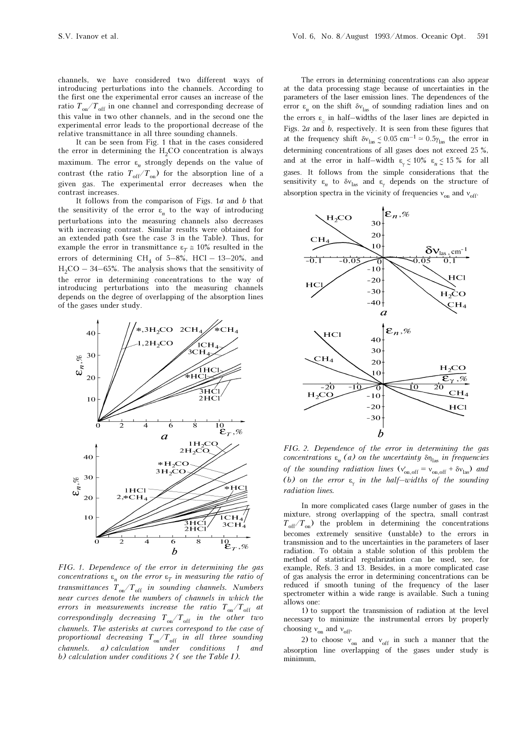channels, we have considered two different ways of introducing perturbations into the channels. According to the first one the experimental error causes an increase of the ratio  $T_{\text{on}}/T_{\text{off}}$  in one channel and corresponding decrease of this value in two other channels, and in the second one the experimental error leads to the proportional decrease of the relative transmittance in all three sounding channels.

It can be seen from Fig. 1 that in the cases considered the error in determining the  $H_2CO$  concentration is always maximum. The error  $\varepsilon_n$  strongly depends on the value of contrast (the ratio  $T_{\text{off}}/T_{\text{on}}$ ) for the absorption line of a given gas. The experimental error decreases when the contrast increases.

It follows from the comparison of Figs.  $1a$  and  $b$  that the sensitivity of the error  $\varepsilon_n$  to the way of introducing perturbations into the measuring channels also decreases with increasing contrast. Similar results were obtained for an extended path (see the case 3 in the Table). Thus, for example the error in transmittance  $\varepsilon_T \approx 10\%$  resulted in the errors of determining CH<sub>4</sub> of 5–8%, HCl – 13–20%, and  $H_2CO - 34-65\%$ . The analysis shows that the sensitivity of the error in determining concentrations to the way of introducing perturbations into the measuring channels depends on the degree of overlapping of the absorption lines of the gases under study.



FIG. 1. Dependence of the error in determining the gas concentrations  $\varepsilon_n$  on the error  $\varepsilon_T$  in measuring the ratio of transmittances  $T_{on}/T_{off}$  in sounding channels. Numbers near curves denote the numbers of channels in which the errors in measurements increase the ratio  $T_{on}/T_{off}$  at correspondingly decreasing  $T_{\rm on}/T_{\rm off}$  in the other two channels. The asterisks at curves correspond to the case of proportional decreasing  $T{_{\rm on}}/T{_{\rm off}}$  in all three sounding channels. a) calculation under conditions 1 and b) calculation under conditions 2 ( see the Table I).

The errors in determining concentrations can also appear at the data processing stage because of uncertainties in the parameters of the laser emission lines. The dependences of the error  $\varepsilon_n$  on the shift  $\delta v_{\text{las}}$  of sounding radiation lines and on the errors  $\varepsilon_c$  in half–widths of the laser lines are depicted in Figs.  $2a$  and  $b$ , respectively. It is seen from these figures that at the frequency shift  $\delta v_{\text{las}} \leq 0.05 \text{ cm}^{-1} \approx 0.5 \gamma_{\text{las}}$  the error in determining concentrations of all gases does not exceed 25 %, and at the error in half–width  $\epsilon_{\gamma} \lesssim 10\%$   $\epsilon_n \lesssim 15\%$  for all gases. It follows from the simple considerations that the sensitivity  $\varepsilon_n$  to  $\delta v_{\text{las}}$  and  $\varepsilon_y$  depends on the structure of absorption spectra in the vicinity of frequencies  $v_{on}$  and  $v_{off}$ .



FIG. 2. Dependence of the error in determining the gas concentrations  $\varepsilon_n$  (a) on the uncertainty  $\delta\eta_{\text{las}}$  in frequencies of the sounding radiation lines  $(v'_{on,off} = v_{on,off} + \delta v_{las})$  and (b) on the error  $\varepsilon_{\!\gamma}$  in the half–widths of the sounding radiation lines.

In more complicated cases (large number of gases in the mixture, strong overlapping of the spectra, small contrast  $T_{\text{off}}/T_{\text{on}}$ ) the problem in determining the concentrations becomes extremely sensitive (unstable) to the errors in transmission and to the uncertainties in the parameters of laser radiation. To obtain a stable solution of this problem the method of statistical regularization can be used, see, for example, Refs. 3 and 13. Besides, in a more complicated case of gas analysis the error in determining concentrations can be reduced if smooth tuning of the frequency of the laser spectrometer within a wide range is available. Such a tuning allows one:

1) to support the transmission of radiation at the level necessary to minimize the instrumental errors by properly choosing  $v_{on}$  and  $v_{off}$ ,

2) to choose  $v_{on}$  and  $v_{off}$  in such a manner that the absorption line overlapping of the gases under study is minimum,